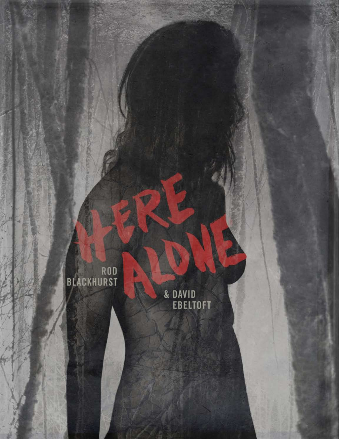ROD<br>BLACKHURST

& DAVID<br>EBELTOFT

œŪ

b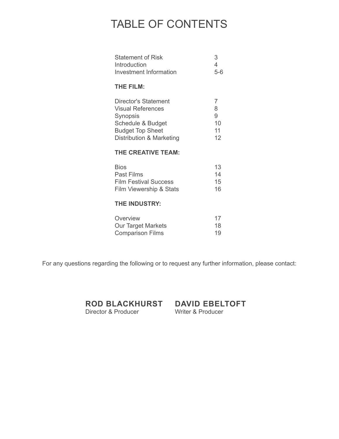## TABLE OF CONTENTS

| <b>Statement of Risk</b>      | 3     |
|-------------------------------|-------|
| Introduction                  | 4     |
| <b>Investment Information</b> | $5-6$ |
| <b>THE FILM:</b>              |       |
| Director's Statement          | 7     |
| Visual References             | 8     |
| Synopsis                      | 9     |
| Schedule & Budget             | 10    |
| <b>Budget Top Sheet</b>       | 11    |
| Distribution & Marketing      | 12    |
| <b>THE CREATIVE TEAM:</b>     |       |
| <b>Bios</b>                   | 13    |
| Past Films                    | 14    |
| <b>Film Festival Success</b>  | 15    |
| Film Viewership & Stats       | 16    |
| <b>THE INDUSTRY:</b>          |       |
| Overview                      | 17    |
| <b>Our Target Markets</b>     | 18    |
| <b>Comparison Films</b>       | 19    |

For any questions regarding the following or to request any further information, please contact:

**DAVID EBELTOFT ROD BLACKHURST** Director & Producer

Writer & Producer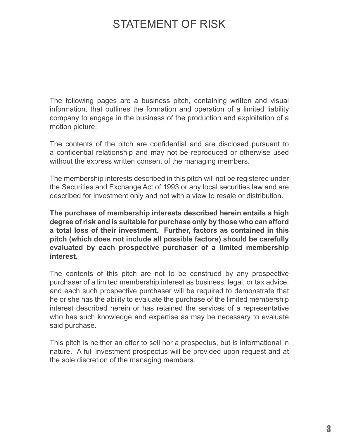## STATEMENT OF RISK

The following pages are a business pitch, containing written and visual information, that outlines the formation and operation of a limited liability company to engage in the business of the production and exploitation of a motion picture.

The contents of the pitch are confidential and are disclosed pursuant to a confidential relationship and may not be reproduced or otherwise used without the express written consent of the managing members.

The membership interests described in this pitch will not be registered under the Securities and Exchange Act of 1993 or any local securities law and are described for investment only and not with a view to resale or distribution.

**The purchase of membership interests described herein entails a high degree of risk and is suitable for purchase only by those who can afford a total loss of their investment. Further, factors as contained in this pitch (which does not include all possible factors) should be carefully evaluated by each prospective purchaser of a limited membership interest.**

The contents of this pitch are not to be construed by any prospective purchaser of a limited membership interest as business, legal, or tax advice, and each such prospective purchaser will be required to demonstrate that he or she has the ability to evaluate the purchase of the limited membership interest described herein or has retained the services of a representative who has such knowledge and expertise as may be necessary to evaluate said purchase.

This pitch is neither an offer to sell nor a prospectus, but is informational in nature. A full investment prospectus will be provided upon request and at the sole discretion of the managing members.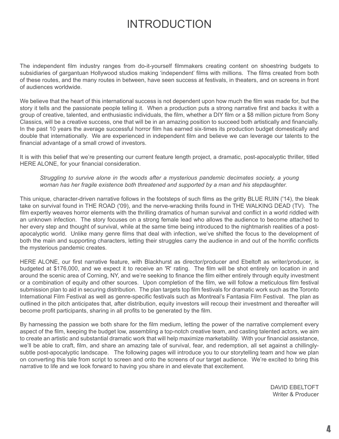## INTRODUCTION

The independent film industry ranges from do-it-yourself filmmakers creating content on shoestring budgets to subsidiaries of gargantuan Hollywood studios making 'independent' films with millions. The films created from both of these routes, and the many routes in between, have seen success at festivals, in theaters, and on screens in front of audiences worldwide.

We believe that the heart of this international success is not dependent upon how much the film was made for, but the story it tells and the passionate people telling it. When a production puts a strong narrative first and backs it with a group of creative, talented, and enthusiastic individuals, the film, whether a DIY film or a \$8 million picture from Sony Classics, will be a creative success, one that will be in an amazing position to succeed both artistically and financially. In the past 10 years the average successful horror film has earned six-times its production budget domestically and double that internationally. We are experienced in independent film and believe we can leverage our talents to the financial advantage of a small crowd of investors.

It is with this belief that we're presenting our current feature length project, a dramatic, post-apocalyptic thriller, titled HERE ALONE, for your financial consideration.

#### *Struggling to survive alone in the woods after a mysterious pandemic decimates society, a young woman has her fragile existence both threatened and supported by a man and his stepdaughter.*

This unique, character-driven narrative follows in the footsteps of such films as the gritty BLUE RUIN ('14), the bleak take on survival found in THE ROAD ('09), and the nerve-wracking thrills found in THE WALKING DEAD (TV). The film expertly weaves horror elements with the thrilling dramatics of human survival and conflict in a world riddled with an unknown infection. The story focuses on a strong female lead who allows the audience to become attached to her every step and thought of survival, while at the same time being introduced to the nightmarish realities of a postapocalyptic world. Unlike many genre films that deal with infection, we've shifted the focus to the development of both the main and supporting characters, letting their struggles carry the audience in and out of the horrific conflicts the mysterious pandemic creates.

HERE ALONE, our first narrative feature, with Blackhurst as director/producer and Ebeltoft as writer/producer, is budgeted at \$176,000, and we expect it to receive an 'R' rating. The film will be shot entirely on location in and around the scenic area of Corning, NY, and we're seeking to finance the film either entirely through equity investment or a combination of equity and other sources. Upon completion of the film, we will follow a meticulous film festival submission plan to aid in securing distribution. The plan targets top film festivals for dramatic work such as the Toronto International Film Festival as well as genre-specific festivals such as Montreal's Fantasia Film Festival. The plan as outlined in the pitch anticipates that, after distribution, equity investors will recoup their investment and thereafter will become profit participants, sharing in all profits to be generated by the film.

By harnessing the passion we both share for the film medium, letting the power of the narrative complement every aspect of the film, keeping the budget low, assembling a top-notch creative team, and casting talented actors, we aim to create an artistic and substantial dramatic work that will help maximize marketability. With your financial assistance, we'll be able to craft, film, and share an amazing tale of survival, fear, and redemption, all set against a chillinglysubtle post-apocalyptic landscape. The following pages will introduce you to our storytelling team and how we plan on converting this tale from script to screen and onto the screens of our target audience. We're excited to bring this narrative to life and we look forward to having you share in and elevate that excitement.

> DAVID EBELTOFT Writer & Producer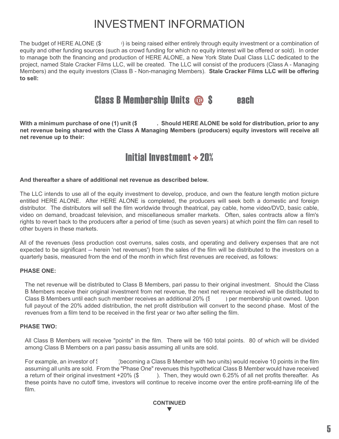## INVESTMENT INFORMATION

The budget of HERE ALONE (\$176,000) is being raised either entirely through equity investment or a combination of equity and other funding sources (such as crowd funding for which no equity interest will be offered or sold). In order to manage both the financing and production of HERE ALONE, a New York State Dual Class LLC dedicated to the project, named Stale Cracker Films LLC, will be created. The LLC will consist of the producers (Class A - Managing Members) and the equity investors (Class B - Non-managing Members). **Stale Cracker Films LLC will be offering to sell:**

### **Class B Membership Units**  $\omega$  **S** each

With a minimum purchase of one (1) unit (\$<sub>1</sub>500). Should HERE ALONE be sold for distribution, prior to any **net revenue being shared with the Class A Managing Members (producers) equity investors will receive all net revenue up to their:**

## Initial Investment  $\div$  20%

#### **And thereafter a share of additional net revenue as described below.**

The LLC intends to use all of the equity investment to develop, produce, and own the feature length motion picture entitled HERE ALONE. After HERE ALONE is completed, the producers will seek both a domestic and foreign distributor. The distributors will sell the film worldwide through theatrical, pay cable, home video/DVD, basic cable, video on demand, broadcast television, and miscellaneous smaller markets. Often, sales contracts allow a film's rights to revert back to the producers after a period of time (such as seven years) at which point the film can resell to other buyers in these markets.

All of the revenues (less production cost overruns, sales costs, and operating and delivery expenses that are not expected to be significant -- herein 'net revenues') from the sales of the film will be distributed to the investors on a quarterly basis, measured from the end of the month in which first revenues are received, as follows:

#### **PHASE ONE:**

The net revenue will be distributed to Class B Members, pari passu to their original investment. Should the Class B Members receive their original investment from net revenue, the next net revenue received will be distributed to Class B Members until each such member receives an additional  $20\%$  ( $\{$  ) per membership unit owned. Upon full payout of the 20% added distribution, the net profit distribution will convert to the second phase. Most of the revenues from a film tend to be received in the first year or two after selling the film.

#### **PHASE TWO:**

All Class B Members will receive "points" in the film. There will be 160 total points. 80 of which will be divided among Class B Members on a pari passu basis assuming all units are sold.

For example, an investor of  $\frac{2}{3}$  (becoming a Class B Member with two units) would receive 10 points in the film assuming all units are sold. From the "Phase One" revenues this hypothetical Class B Member would have received a return of their original investment  $+20\%$  (\$). Then, they would own 6.25% of all net profits thereafter. As these points have no cutoff time, investors will continue to receive income over the entire profit-earning life of the film.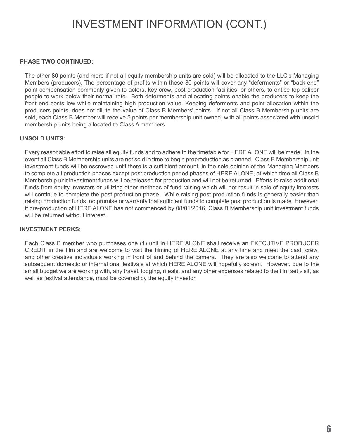## INVESTMENT INFORMATION (CONT.)

#### **PHASE TWO CONTINUED:**

The other 80 points (and more if not all equity membership units are sold) will be allocated to the LLC's Managing Members (producers). The percentage of profits within these 80 points will cover any "deferments" or "back end" point compensation commonly given to actors, key crew, post production facilities, or others, to entice top caliber people to work below their normal rate. Both deferments and allocating points enable the producers to keep the front end costs low while maintaining high production value. Keeping deferments and point allocation within the producers points, does not dilute the value of Class B Members' points. If not all Class B Membership units are sold, each Class B Member will receive 5 points per membership unit owned, with all points associated with unsold membership units being allocated to Class A members.

#### **UNSOLD UNITS:**

Every reasonable effort to raise all equity funds and to adhere to the timetable for HERE ALONE will be made. In the event all Class B Membership units are not sold in time to begin preproduction as planned, Class B Membership unit investment funds will be escrowed until there is a sufficient amount, in the sole opinion of the Managing Members to complete all production phases except post production period phases of HERE ALONE, at which time all Class B Membership unit investment funds will be released for production and will not be returned. Efforts to raise additional funds from equity investors or utilizing other methods of fund raising which will not result in sale of equity interests will continue to complete the post production phase. While raising post production funds is generally easier than raising production funds, no promise or warranty that sufficient funds to complete post production is made. However, if pre-production of HERE ALONE has not commenced by 08/01/2016, Class B Membership unit investment funds will be returned without interest.

#### **INVESTMENT PERKS:**

Each Class B member who purchases one (1) unit in HERE ALONE shall receive an EXECUTIVE PRODUCER CREDIT in the film and are welcome to visit the filming of HERE ALONE at any time and meet the cast, crew, and other creative individuals working in front of and behind the camera. They are also welcome to attend any subsequent domestic or international festivals at which HERE ALONE will hopefully screen. However, due to the small budget we are working with, any travel, lodging, meals, and any other expenses related to the film set visit, as well as festival attendance, must be covered by the equity investor.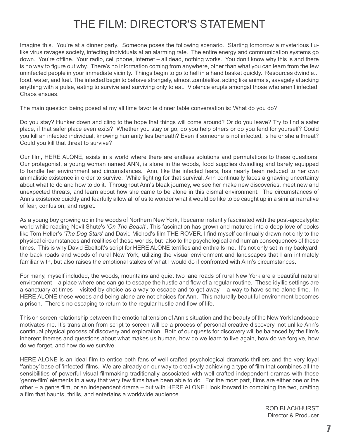## THE FILM: DIRECTOR'S STATEMENT

Imagine this. You're at a dinner party. Someone poses the following scenario. Starting tomorrow a mysterious flulike virus ravages society, infecting individuals at an alarming rate. The entire energy and communication systems go down. You're offline. Your radio, cell phone, internet – all dead, nothing works. You don't know why this is and there is no way to figure out why. There's no information coming from anywhere, other than what you can learn from the few uninfected people in your immediate vicinity. Things begin to go to hell in a hand basket quickly. Resources dwindle... food, water, and fuel. The infected begin to behave strangely, almost zombielike, acting like animals, savagely attacking anything with a pulse, eating to survive and surviving only to eat. Violence erupts amongst those who aren't infected. Chaos ensues.

The main question being posed at my all time favorite dinner table conversation is: What do you do?

Do you stay? Hunker down and cling to the hope that things will come around? Or do you leave? Try to find a safer place, if that safer place even exits? Whether you stay or go, do you help others or do you fend for yourself? Could you kill an infected individual, knowing humanity lies beneath? Even if someone is not infected, is he or she a threat? Could you kill that threat to survive?

Our film, HERE ALONE, exists in a world where there are endless solutions and permutations to these questions. Our protagonist, a young woman named ANN, is alone in the woods, food supplies dwindling and barely equipped to handle her environment and circumstances. Ann, like the infected fears, has nearly been reduced to her own animalistic existence in order to survive. While fighting for that survival, Ann continually faces a gnawing uncertainty about what to do and how to do it. Throughout Ann's bleak journey, we see her make new discoveries, meet new and unexpected threats, and learn about how she came to be alone in this dismal environment. The circumstances of Ann's existence quickly and fearfully allow all of us to wonder what it would be like to be caught up in a similar narrative of fear, confusion, and regret.

As a young boy growing up in the woods of Northern New York, I became instantly fascinated with the post-apocalyptic world while reading Nevil Shute's '*On The Beach*'. This fascination has grown and matured into a deep love of books like Tom Heller's '*The Dog Stars*' and David Michod's film THE ROVER. I find myself continually drawn not only to the physical circumstances and realities of these worlds, but also to the psychological and human consequences of these times. This is why David Ebeltoft's script for HERE ALONE terrifies and enthralls me. It's not only set in my backyard, the back roads and woods of rural New York, utilizing the visual environment and landscapes that I am intimately familiar with, but also raises the emotional stakes of what I would do if confronted with Ann's circumstances.

For many, myself included, the woods, mountains and quiet two lane roads of rural New York are a beautiful natural environment – a place where one can go to escape the hustle and flow of a regular routine. These idyllic settings are a sanctuary at times – visited by choice as a way to escape and to get away – a way to have some alone time. In HERE ALONE these woods and being alone are not choices for Ann. This naturally beautiful environment becomes a prison. There's no escaping to return to the regular hustle and flow of life.

This on screen relationship between the emotional tension of Ann's situation and the beauty of the New York landscape motivates me. It's translation from script to screen will be a process of personal creative discovery, not unlike Ann's continual physical process of discovery and exploration. Both of our quests for discovery will be balanced by the film's inherent themes and questions about what makes us human, how do we learn to live again, how do we forgive, how do we forget, and how do we survive.

HERE ALONE is an ideal film to entice both fans of well-crafted psychological dramatic thrillers and the very loyal 'fanboy' base of 'infected' films. We are already on our way to creatively achieving a type of film that combines all the sensibilities of powerful visual filmmaking traditionally associated with well-crafted independent dramas with those 'genre-film' elements in a way that very few films have been able to do. For the most part, films are either one or the other – a genre film, or an independent drama – but with HERE ALONE I look forward to combining the two, crafting a film that haunts, thrills, and entertains a worldwide audience.

> ROD BLACKHURST Director & Producer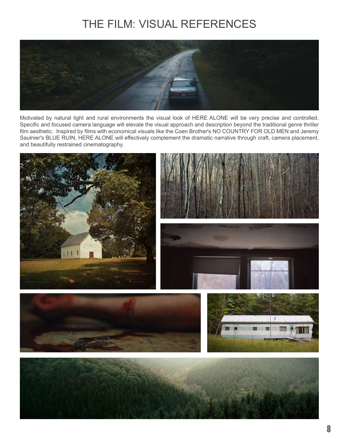# THE FILM: VISUAL REFERENCES



Motivated by natural light and rural environments the visual look of HERE ALONE will be very precise and controlled. Specific and focused camera language will elevate the visual approach and description beyond the traditional genre thriller film aesthetic. Inspired by films with economical visuals like the Coen Brother's NO COUNTRY FOR OLD MEN and Jeremy Saulnier's BLUE RUIN, HERE ALONE will effectively complement the dramatic narrative through craft, camera placement, and beautifully restrained cinematography.



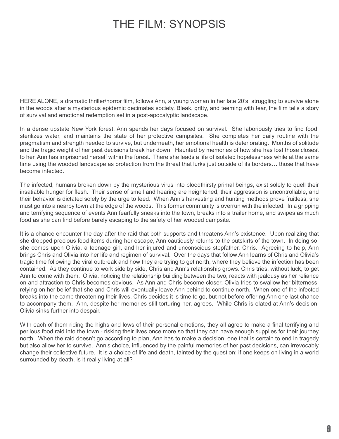## THE FILM: SYNOPSIS

HERE ALONE, a dramatic thriller/horror film, follows Ann, a young woman in her late 20's, struggling to survive alone in the woods after a mysterious epidemic decimates society. Bleak, gritty, and teeming with fear, the film tells a story of survival and emotional redemption set in a post-apocalyptic landscape.

In a dense upstate New York forest, Ann spends her days focused on survival. She laboriously tries to find food, sterilizes water, and maintains the state of her protective campsites. She completes her daily routine with the pragmatism and strength needed to survive, but underneath, her emotional health is deteriorating. Months of solitude and the tragic weight of her past decisions break her down. Haunted by memories of how she has lost those closest to her, Ann has imprisoned herself within the forest. There she leads a life of isolated hopelessness while at the same time using the wooded landscape as protection from the threat that lurks just outside of its borders… those that have become infected.

The infected, humans broken down by the mysterious virus into bloodthirsty primal beings, exist solely to quell their insatiable hunger for flesh. Their sense of smell and hearing are heightened, their aggression is uncontrollable, and their behavior is dictated solely by the urge to feed. When Ann's harvesting and hunting methods prove fruitless, she must go into a nearby town at the edge of the woods. This former community is overrun with the infected. In a gripping and terrifying sequence of events Ann fearfully sneaks into the town, breaks into a trailer home, and swipes as much food as she can find before barely escaping to the safety of her wooded campsite.

It is a chance encounter the day after the raid that both supports and threatens Ann's existence. Upon realizing that she dropped precious food items during her escape, Ann cautiously returns to the outskirts of the town. In doing so, she comes upon Olivia, a teenage girl, and her injured and unconscious stepfather, Chris. Agreeing to help, Ann brings Chris and Olivia into her life and regimen of survival. Over the days that follow Ann learns of Chris and Olivia's tragic time following the viral outbreak and how they are trying to get north, where they believe the infection has been contained. As they continue to work side by side, Chris and Ann's relationship grows. Chris tries, without luck, to get Ann to come with them. Olivia, noticing the relationship building between the two, reacts with jealousy as her reliance on and attraction to Chris becomes obvious. As Ann and Chris become closer, Olivia tries to swallow her bitterness, relying on her belief that she and Chris will eventually leave Ann behind to continue north. When one of the infected breaks into the camp threatening their lives, Chris decides it is time to go, but not before offering Ann one last chance to accompany them. Ann, despite her memories still torturing her, agrees. While Chris is elated at Ann's decision, Olivia sinks further into despair.

With each of them riding the highs and lows of their personal emotions, they all agree to make a final terrifying and perilous food raid into the town - risking their lives once more so that they can have enough supplies for their journey north. When the raid doesn't go according to plan, Ann has to make a decision, one that is certain to end in tragedy but also allow her to survive. Ann's choice, influenced by the painful memories of her past decisions, can irrevocably change their collective future. It is a choice of life and death, tainted by the question: if one keeps on living in a world surrounded by death, is it really living at all?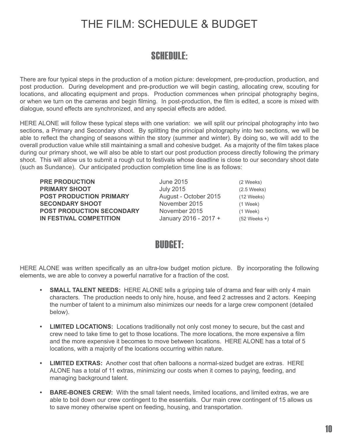## THE FILM: SCHEDULE & BUDGET

## SCHEDULE:

There are four typical steps in the production of a motion picture: development, pre-production, production, and post production. During development and pre-production we will begin casting, allocating crew, scouting for locations, and allocating equipment and props. Production commences when principal photography begins, or when we turn on the cameras and begin filming. In post-production, the film is edited, a score is mixed with dialogue, sound effects are synchronized, and any special effects are added.

HERE ALONE will follow these typical steps with one variation: we will split our principal photography into two sections, a Primary and Secondary shoot. By splitting the principal photography into two sections, we will be able to reflect the changing of seasons within the story (summer and winter). By doing so, we will add to the overall production value while still maintaining a small and cohesive budget. As a majority of the film takes place during our primary shoot, we will also be able to start our post production process directly following the primary shoot. This will allow us to submit a rough cut to festivals whose deadline is close to our secondary shoot date (such as Sundance). Our anticipated production completion time line is as follows:

**PRIMARY SHOOT** July 2015 (2.5 Weeks) **POST PRODUCTION PRIMARY** August - October 2015 (12 Weeks) **SECONDARY SHOOT** November 2015(1 Week) **POST PRODUCTION SECONDARY** November 2015 (1 Week) **IN FESTIVAL COMPETITION** January 2016 - 2017 + (52 Weeks +)

**PRE PRODUCTION June 2015** *(2 Weeks)* 

### BUDGET:

HERE ALONE was written specifically as an ultra-low budget motion picture. By incorporating the following elements, we are able to convey a powerful narrative for a fraction of the cost.

- **SMALL TALENT NEEDS:** HERE ALONE tells a gripping tale of drama and fear with only 4 main characters. The production needs to only hire, house, and feed 2 actresses and 2 actors. Keeping the number of talent to a minimum also minimizes our needs for a large crew component (detailed below).
- **LIMITED LOCATIONS:** Locations traditionally not only cost money to secure, but the cast and crew need to take time to get to those locations. The more locations, the more expensive a film and the more expensive it becomes to move between locations. HERE ALONE has a total of 5 locations, with a majority of the locations occurring within nature.
- **• LIMITED EXTRAS:** Another cost that often balloons a normal-sized budget are extras. HERE ALONE has a total of 11 extras, minimizing our costs when it comes to paying, feeding, and managing background talent.
- **BARE-BONES CREW:** With the small talent needs, limited locations, and limited extras, we are able to boil down our crew contingent to the essentials. Our main crew contingent of 15 allows us to save money otherwise spent on feeding, housing, and transportation.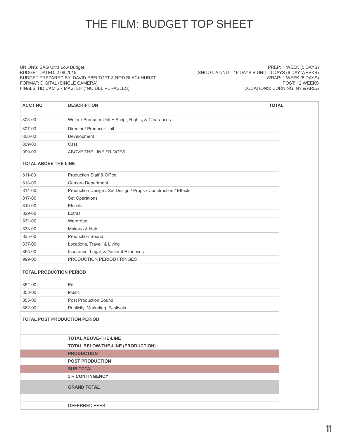# THE FILM: BUDGET TOP SHEET

UNIONS: SAG Ultra Low Budget BUDGET DATED: 2.08.2015 BUDGET PREPARED BY: DAVID EBELTOFT & ROD BLACKHURST FORMAT: DIGITAL (SINGLE CAMERA) FINALS: HD CAM SR MASTER (\*NO DELIVERABLES)

PREP: 1 WEEK (5 DAYS) SHOOT: A UNIT - 16 DAYS B UNIT- 3 DAYS (6 DAY WEEKS) WRAP: 1 WEEK (5 DAYS) POST: 12 WEEKS LOCATIONS: CORNING, NY & AREA

| <b>ACCT NO</b>                      | <b>DESCRIPTION</b>                                              | <b>TOTAL</b> |  |  |
|-------------------------------------|-----------------------------------------------------------------|--------------|--|--|
| 803-00                              | Writer / Producer Unit + Script, Rights, & Clearances           |              |  |  |
| 807-00                              | Director / Producer Unit                                        |              |  |  |
| 808-00                              | Development                                                     |              |  |  |
| 809-00                              | Cast                                                            |              |  |  |
| 999-00                              | ABOVE THE LINE FRINGES                                          |              |  |  |
| <b>TOTAL ABOVE THE LINE</b>         |                                                                 |              |  |  |
| 811-00                              | Production Staff & Office                                       |              |  |  |
| 813-00                              | Camera Department                                               |              |  |  |
| 814-00                              | Production Design / Set Design / Props / Construction / Effects |              |  |  |
| 817-00                              | Set Operations                                                  |              |  |  |
| 819-00                              | Electric                                                        |              |  |  |
| 829-00                              | <b>Extras</b>                                                   |              |  |  |
| 831-00                              | Wardrobe                                                        |              |  |  |
| 833-00                              | Makeup & Hair                                                   |              |  |  |
| 835-00                              | <b>Production Sound</b>                                         |              |  |  |
| 837-00                              | Locations, Travel, & Living                                     |              |  |  |
| 855-00                              | Insurance, Legal, & General Expenses                            |              |  |  |
| 999-00                              | PRODUCTION PERIOD FRINGES                                       |              |  |  |
|                                     | <b>TOTAL PRODUCTION PERIOD</b>                                  |              |  |  |
| 851-00                              | Edit                                                            |              |  |  |
| 853-00                              | Music                                                           |              |  |  |
| 855-00                              | <b>Post Production Sound</b>                                    |              |  |  |
| 862-00                              | Publicity, Marketing, Festivals                                 |              |  |  |
| <b>TOTAL POST PRODUCTION PERIOD</b> |                                                                 |              |  |  |
|                                     |                                                                 |              |  |  |
|                                     | <b>TOTAL ABOVE-THE-LINE</b>                                     |              |  |  |
|                                     | TOTAL BELOW-THE-LINE (PRODUCTION)                               |              |  |  |
|                                     | <b>PRODUCTION</b>                                               |              |  |  |
|                                     | <b>POST PRODUCTION</b>                                          |              |  |  |
|                                     | <b>SUB TOTAL</b>                                                |              |  |  |
|                                     | <b>3% CONTINGENCY</b>                                           |              |  |  |
|                                     | <b>GRAND TOTAL</b>                                              |              |  |  |
|                                     |                                                                 |              |  |  |
|                                     | DEFERRED FEES                                                   |              |  |  |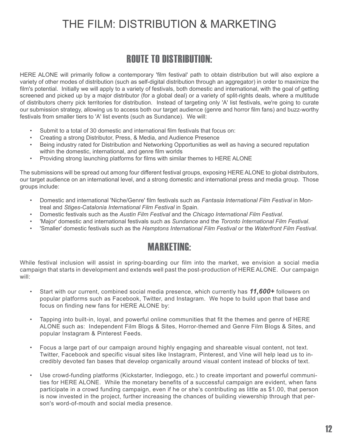## THE FILM: DISTRIBUTION & MARKETING

### ROUTE TO DISTRIBUTION:

HERE ALONE will primarily follow a contemporary 'film festival' path to obtain distribution but will also explore a variety of other modes of distribution (such as self-digital distribution through an aggregator) in order to maximize the film's potential. Initially we will apply to a variety of festivals, both domestic and international, with the goal of getting screened and picked up by a major distributor (for a global deal) or a variety of split-rights deals, where a multitude of distributors cherry pick territories for distribution. Instead of targeting only 'A' list festivals, we're going to curate our submission strategy, allowing us to access both our target audience (genre and horror film fans) and buzz-worthy festivals from smaller tiers to 'A' list events (such as Sundance). We will:

- Submit to a total of 30 domestic and international film festivals that focus on:
- Creating a strong Distributor, Press, & Media, and Audience Presence
- Being industry rated for Distribution and Networking Opportunities as well as having a secured reputation within the domestic, international, and genre film worlds
- Providing strong launching platforms for films with similar themes to HERE ALONE

The submissions will be spread out among four different festival groups, exposing HERE ALONE to global distributors, our target audience on an international level, and a strong domestic and international press and media group. Those groups include:

- Domestic and international 'Niche/Genre' film festivals such as *Fantasia International Film Festival* in Montreal and *Stiges-Catalonia International Film Festival* in Spain.
- Domestic festivals such as the *Austin Film Festival* and the *Chicago International Film Festival*.
- 'Major' domestic and international festivals such as *Sundance* and the *Toronto International Film Festival*.
- 'Smaller' domestic festivals such as the *Hamptons International Film Festival* or the *Waterfront Film Festival*.

### MARKETING:

While festival inclusion will assist in spring-boarding our film into the market, we envision a social media campaign that starts in development and extends well past the post-production of HERE ALONE. Our campaign will:

- Start with our current, combined social media presence, which currently has *11,600+* followers on popular platforms such as Facebook, Twitter, and Instagram. We hope to build upon that base and focus on finding new fans for HERE ALONE by:
- Tapping into built-in, loyal, and powerful online communities that fit the themes and genre of HERE ALONE such as: Independent Film Blogs & Sites, Horror-themed and Genre Film Blogs & Sites, and popular Instagram & Pinterest Feeds.
- Focus a large part of our campaign around highly engaging and shareable visual content, not text. Twitter, Facebook and specific visual sites like Instagram, Pinterest, and Vine will help lead us to incredibly devoted fan bases that develop organically around visual content instead of blocks of text.
- Use crowd-funding platforms (Kickstarter, Indiegogo, etc.) to create important and powerful communities for HERE ALONE. While the monetary benefits of a successful campaign are evident, when fans participate in a crowd funding campaign, even if he or she's contributing as little as \$1.00, that person is now invested in the project, further increasing the chances of building viewership through that person's word-of-mouth and social media presence.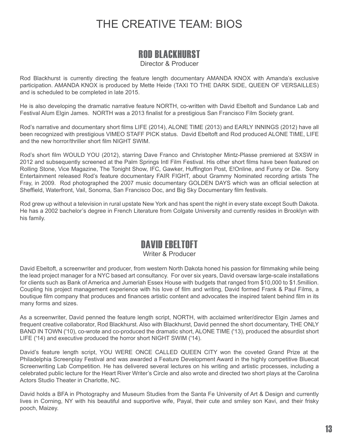# THE CREATIVE TEAM: BIOS

### ROD BLACKHURST

Director & Producer

Rod Blackhurst is currently directing the feature length documentary AMANDA KNOX with Amanda's exclusive participation. AMANDA KNOX is produced by Mette Heide (TAXI TO THE DARK SIDE, QUEEN OF VERSAILLES) and is scheduled to be completed in late 2015.

He is also developing the dramatic narrative feature NORTH, co-written with David Ebeltoft and Sundance Lab and Festival Alum Elgin James. NORTH was a 2013 finalist for a prestigious San Francisco Film Society grant.

Rod's narrative and documentary short films LIFE (2014), ALONE TIME (2013) and EARLY INNINGS (2012) have all been recognized with prestigious VIMEO STAFF PICK status. David Ebeltoft and Rod produced ALONE TIME, LIFE and the new horror/thriller short film NIGHT SWIM.

Rod's short film WOULD YOU (2012), starring Dave Franco and Christopher Mintz-Plasse premiered at SXSW in 2012 and subsequently screened at the Palm Springs Intl Film Festival. His other short films have been featured on Rolling Stone, Vice Magazine, The Tonight Show, IFC, Gawker, Huffington Post, E!Online, and Funny or Die. Sony Entertainment released Rod's feature documentary FAIR FIGHT, about Grammy Nominated recording artists The Fray, in 2009. Rod photographed the 2007 music documentary GOLDEN DAYS which was an official selection at Sheffield, Waterfront, Vail, Sonoma, San Francisco Doc, and Big Sky Documentary film festivals.

Rod grew up without a television in rural upstate New York and has spent the night in every state except South Dakota. He has a 2002 bachelor's degree in French Literature from Colgate University and currently resides in Brooklyn with his family.

### DAVID EBELTOFT

#### Writer & Producer

David Ebeltoft, a screenwriter and producer, from western North Dakota honed his passion for filmmaking while being the lead project manager for a NYC based art consultancy. For over six years, David oversaw large-scale installations for clients such as Bank of America and Jumeriah Essex House with budgets that ranged from \$10,000 to \$1.5million. Coupling his project management experience with his love of film and writing, David formed Frank & Paul Films, a boutique film company that produces and finances artistic content and advocates the inspired talent behind film in its many forms and sizes.

As a screenwriter, David penned the feature length script, NORTH, with acclaimed writer/director Elgin James and frequent creative collaborator, Rod Blackhurst. Also with Blackhurst, David penned the short documentary, THE ONLY BAND IN TOWN ('10), co-wrote and co-produced the dramatic short, ALONE TIME ('13), produced the absurdist short LIFE ('14) and executive produced the horror short NIGHT SWIM ('14).

David's feature length script, YOU WERE ONCE CALLED QUEEN CITY won the coveted Grand Prize at the Philadelphia Screenplay Festival and was awarded a Feature Development Award in the highly competitive Bluecat Screenwriting Lab Competition. He has delivered several lectures on his writing and artistic processes, including a celebrated public lecture for the Heart River Writer's Circle and also wrote and directed two short plays at the Carolina Actors Studio Theater in Charlotte, NC.

David holds a BFA in Photography and Museum Studies from the Santa Fe University of Art & Design and currently lives in Corning, NY with his beautiful and supportive wife, Payal, their cute and smiley son Kavi, and their frisky pooch, Maizey.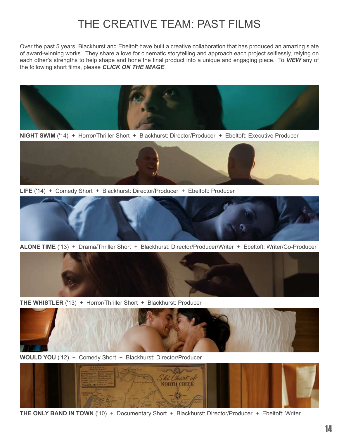# THE CREATIVE TEAM: PAST FILMS

Over the past 5 years, Blackhurst and Ebeltoft have built a creative collaboration that has produced an amazing slate of award-winning works. They share a love for cinematic storytelling and approach each project selflessly, relying on each other's strengths to help shape and hone the final product into a unique and engaging piece. To *VIEW* any of the following short films, please *CLICK ON THE IMAGE*.



**NIGHT SWIM** ('14) + Horror/Thriller Short + Blackhurst: Director/Producer + Ebeltoft: Executive Producer



**LIFE** ('14) + Comedy Short + Blackhurst: Director/Producer + Ebeltoft: Producer



**ALONE TIME** ('13) + Drama/Thriller Short + Blackhurst: Director/Producer/Writer + Ebeltoft: Writer/Co-Producer



**THE WHISTLER** ('13) + Horror/Thriller Short + Blackhurst: Producer



**WOULD YOU** ('12) + Comedy Short + Blackhurst: Director/Producer



**THE ONLY BAND IN TOWN** ('10) + Documentary Short + Blackhurst: Director/Producer + Ebeltoft: Writer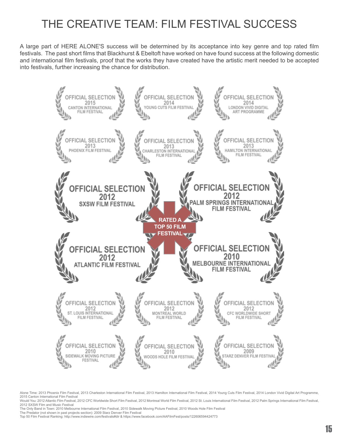# THE CREATIVE TEAM: FILM FESTIVAL SUCCESS

A large part of HERE ALONE'S success will be determined by its acceptance into key genre and top rated film festivals. The past short films that Blackhurst & Ebeltoft have worked on have found success at the following domestic and international film festivals, proof that the works they have created have the artistic merit needed to be accepted into festivals, further increasing the chance for distribution.



Alone Time: 2013 Phoenix Film Festival, 2013 Charleston International Film Festival, 2013 Hamilton International Film Festival, 2014 Young Cuts Film Festival, 2014 London Vivid Digital Art Programme, 2015 Canton International Film Festival

Would You: 2012 Atlantic Film Festival, 2012 CFC Worldwide Short Film Festival, 2012 Montreal World Film Festival, 2012 St. Louis International Film Festival, 2012 Palm Springs International Film Festival, 2012 Palm Spring 2012 SXSW Film and Music Festival

The Only Band in Town: 2010 Melbourne International Film Festival, 2010 Sidewalk Moving Picture Festival, 2010 Woods Hole Film Festival The Predator (not shown in past projects section): 2009 Starz Denver Film Festival

Top 50 Film Festival Ranking: http://www.indiewire.com/festivals#dir & https://www.facebook.com/AAFilmFest/posts/122606594424773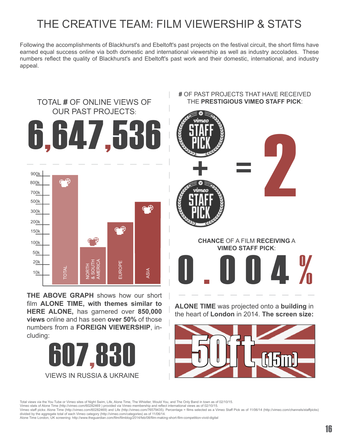# THE CREATIVE TEAM: FILM VIEWERSHIP & STATS

Following the accomplishments of Blackhurst's and Ebeltoft's past projects on the festival circuit, the short films have earned equal success online via both domestic and international viewership as well as industry accolades. These numbers reflect the quality of Blackhurst's and Ebeltoft's past work and their domestic, international, and industry appeal.



**THE ABOVE GRAPH** shows how our short film **ALONE TIME, with themes similar to HERE ALONE,** has garnered over **850,000 views** online and has seen **over 50%** of those numbers from a **FOREIGN VIEWERSHIP**, including:



#### **#** OF PAST PROJECTS THAT HAVE RECEIVED THE **PRESTIGIOUS VIMEO STAFF PICK**:



**ALONE TIME** was projected onto a **building** in the heart of **London** in 2014. **The screen size:**



Total views via the You Tube or Vimeo sites of Night Swim, Life, Alone Time, The Whistler, Would You, and The Only Band in town as of 02/10/15.<br>Vimeo stats of Alone Time (http://vimeo.com/60282469 ) provided via Vimeo memb

Vimeo staff picks: Alone Time (http://vimeo.com/60282469) and Life (http://vimeo.com/76579435). Percentage = films selected as a Vimeo Staff Pick as of 11/06/14 (http://vimeo.com/channels/staffpicks) divided by the aggregate total of each Vimeo category (http://vimeo.com/categories) as of 11/06/14.

Alone Time London, UK screening: http://www.theguardian.com/film/filmblog/2014/feb/08/film-making-short-film-competition-vivid-digital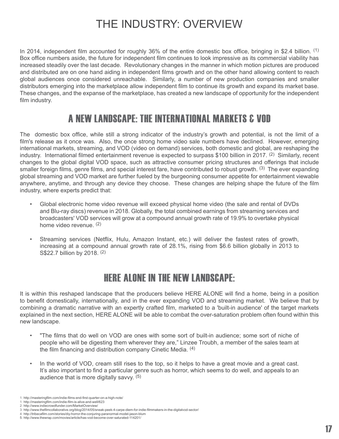# THE INDUSTRY: OVERVIEW

In 2014, independent film accounted for roughly 36% of the entire domestic box office, bringing in \$2.4 billion. (1) Box office numbers aside, the future for independent film continues to look impressive as its commercial viability has increased steadily over the last decade. Revolutionary changes in the manner in which motion pictures are produced and distributed are on one hand aiding in independent films growth and on the other hand allowing content to reach global audiences once considered unreachable. Similarly, a number of new production companies and smaller distributors emerging into the marketplace allow independent film to continue its growth and expand its market base. These changes, and the expanse of the marketplace, has created a new landscape of opportunity for the independent film industry.

### A NEW LANDSCAPE: THE INTERNATIONAL MARKETS & VOD

The domestic box office, while still a strong indicator of the industry's growth and potential, is not the limit of a film's release as it once was. Also, the once strong home video sale numbers have declined. However, emerging international markets, streaming, and VOD (video on demand) services, both domestic and global, are reshaping the industry. International filmed entertainment revenue is expected to surpass \$100 billion in 2017. (2) Similarly, recent changes to the global digital VOD space, such as attractive consumer pricing structures and offerings that include smaller foreign films, genre films, and special interest fare, have contributed to robust growth. <sup>(3)</sup> The ever expanding global streaming and VOD market are further fueled by the burgeoning consumer appetite for entertainment viewable anywhere, anytime, and through any device they choose. These changes are helping shape the future of the film industry, where experts predict that:

- Global electronic home video revenue will exceed physical home video (the sale and rental of DVDs and Blu-ray discs) revenue in 2018. Globally, the total combined earnings from streaming services and broadcasters' VOD services will grow at a compound annual growth rate of 19.9% to overtake physical home video revenue. (2)
- Streaming services (Netflix, Hulu, Amazon Instant, etc.) will deliver the fastest rates of growth, increasing at a compound annual growth rate of 28.1%, rising from \$6.6 billion globally in 2013 to S\$22.7 billion by 2018. (2)

### HERE ALONE IN THE NEW LANDSCAPE:

It is within this reshaped landscape that the producers believe HERE ALONE will find a home, being in a position to benefit domestically, internationally, and in the ever expanding VOD and streaming market. We believe that by combining a dramatic narrative with an expertly crafted film, marketed to a 'built-in audience' of the target markets explained in the next section, HERE ALONE will be able to combat the over-saturation problem often found within this new landscape.

- "The films that do well on VOD are ones with some sort of built-in audience; some sort of niche of people who will be digesting them wherever they are," Linzee Troubh, a member of the sales team at the film financing and distribution company Cinetic Media. (4)
- In the world of VOD, cream still rises to the top, so it helps to have a great movie and a great cast. It's also important to find a particular genre such as horror, which seems to do well, and appeals to an audience that is more digitally savvy. (5)

<sup>1:</sup> http://masteringfilm.com/indie-films-end-first-quarter-on-a-high-note/

<sup>1:</sup> http://masteringfilm.com/indie-film-is-alive-and-well/623 2: http://www.indiecrowdfunder.com/MarketOverview/

<sup>3:</sup> http://www.thefilmcollaborative.org/blog/2014/05/sneak-peek-4-carpe-diem-for-indie-filmmakers-in-the-digitalvod-sector/

<sup>4:</sup> http://tribecafilm.com/stories/diy-horror-the-conjuring-paranormal-model-jason-blum 5: http://www.thewrap.com/movies/article/has-vod-become-over-saturated-114201/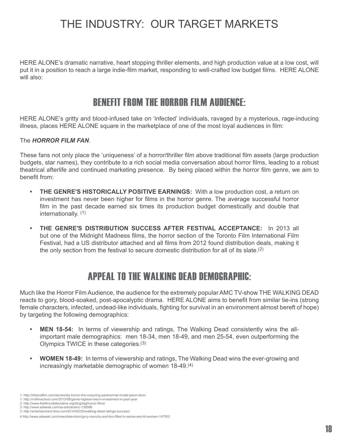# THE INDUSTRY: OUR TARGET MARKETS

HERE ALONE's dramatic narrative, heart stopping thriller elements, and high production value at a low cost, will put it in a position to reach a large indie-film market, responding to well-crafted low budget films. HERE ALONE will also:

### BENEFIT FROM THE HORROR FILM AUDIENCE:

HERE ALONE's gritty and blood-infused take on 'infected' individuals, ravaged by a mysterious, rage-inducing illness, places HERE ALONE square in the marketplace of one of the most loyal audiences in film:

#### The *HORROR FILM FAN*.

These fans not only place the 'uniqueness' of a horror/thriller film above traditional film assets (large production budgets, star names), they contribute to a rich social media conversation about horror films, leading to a robust theatrical afterlife and continued marketing presence. By being placed within the horror film genre, we aim to benefit from:

- **THE GENRE'S HISTORICALLY POSITIVE EARNINGS:** With a low production cost, a return on investment has never been higher for films in the horror genre. The average successful horror film in the past decade earned six times its production budget domestically and double that internationally. (1)
- **THE GENRE'S DISTRIBUTION SUCCESS AFTER FESTIVAL ACCEPTANCE: In 2013 all** but one of the Midnight Madness films, the horror section of the Toronto Film International Film Festival, had a US distributor attached and all films from 2012 found distribution deals, making it the only section from the festival to secure domestic distribution for all of its slate.(2)

### APPEAL TO THE WALKING DEAD DEMOGRAPHIC:

Much like the Horror Film Audience, the audience for the extremely popular AMC TV-show THE WALKING DEAD reacts to gory, blood-soaked, post-apocalyptic drama. HERE ALONE aims to benefit from similar tie-ins (strong female characters, infected, undead-like individuals, fighting for survival in an environment almost bereft of hope) by targeting the following demographics:

- **MEN 18-54:** In terms of viewership and ratings, The Walking Dead consistently wins the allimportant male demographics: men 18-34, men 18-49, and men 25-54, even outperforming the Olympics TWICE in these categories.(3)
- **WOMEN 18-49:** In terms of viewership and ratings, The Walking Dead wins the ever-growing and increasingly marketable demographic of women 18-49.(4)

<sup>1:</sup> http://tribecafilm.com/stories/diy-horror-the-conjuring-paranormal-model-jason-blum

<sup>1:</sup> http://nofilmschool.com/2013/08/genre-highest-return-investment-in-past-year

<sup>2:</sup> http://www.thefilmcollaborative.org/blog/tag/horror-films/ 3: http://www.adweek.com/sa-article/amc-139586

<sup>3:</sup> http://entertainment.time.com/2014/02/25/walking-dead-ratings-success/

<sup>4:</sup>http://www.adweek.com/news/television/gory-raunchy-and-bro-filled-tv-series-are-hit-women-147503